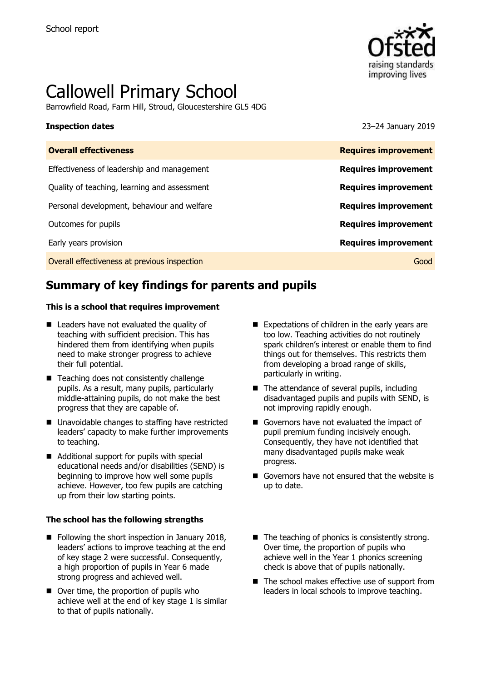

# Callowell Primary School

Barrowfield Road, Farm Hill, Stroud, Gloucestershire GL5 4DG

**Inspection dates** 23–24 January 2019

| <b>Overall effectiveness</b>                 | <b>Requires improvement</b> |
|----------------------------------------------|-----------------------------|
| Effectiveness of leadership and management   | <b>Requires improvement</b> |
| Quality of teaching, learning and assessment | <b>Requires improvement</b> |
| Personal development, behaviour and welfare  | <b>Requires improvement</b> |
| Outcomes for pupils                          | <b>Requires improvement</b> |
| Early years provision                        | <b>Requires improvement</b> |
| Overall effectiveness at previous inspection | Good                        |
|                                              |                             |

# **Summary of key findings for parents and pupils**

#### **This is a school that requires improvement**

- Leaders have not evaluated the quality of teaching with sufficient precision. This has hindered them from identifying when pupils need to make stronger progress to achieve their full potential.
- Teaching does not consistently challenge pupils. As a result, many pupils, particularly middle-attaining pupils, do not make the best progress that they are capable of.
- Unavoidable changes to staffing have restricted leaders' capacity to make further improvements to teaching.
- Additional support for pupils with special educational needs and/or disabilities (SEND) is beginning to improve how well some pupils achieve. However, too few pupils are catching up from their low starting points.

#### **The school has the following strengths**

- Following the short inspection in January 2018, leaders' actions to improve teaching at the end of key stage 2 were successful. Consequently, a high proportion of pupils in Year 6 made strong progress and achieved well.
- Over time, the proportion of pupils who achieve well at the end of key stage 1 is similar to that of pupils nationally.
- $\blacksquare$  Expectations of children in the early years are too low. Teaching activities do not routinely spark children's interest or enable them to find things out for themselves. This restricts them from developing a broad range of skills, particularly in writing.
- $\blacksquare$  The attendance of several pupils, including disadvantaged pupils and pupils with SEND, is not improving rapidly enough.
- Governors have not evaluated the impact of pupil premium funding incisively enough. Consequently, they have not identified that many disadvantaged pupils make weak progress.
- Governors have not ensured that the website is up to date.
- $\blacksquare$  The teaching of phonics is consistently strong. Over time, the proportion of pupils who achieve well in the Year 1 phonics screening check is above that of pupils nationally.
- The school makes effective use of support from leaders in local schools to improve teaching.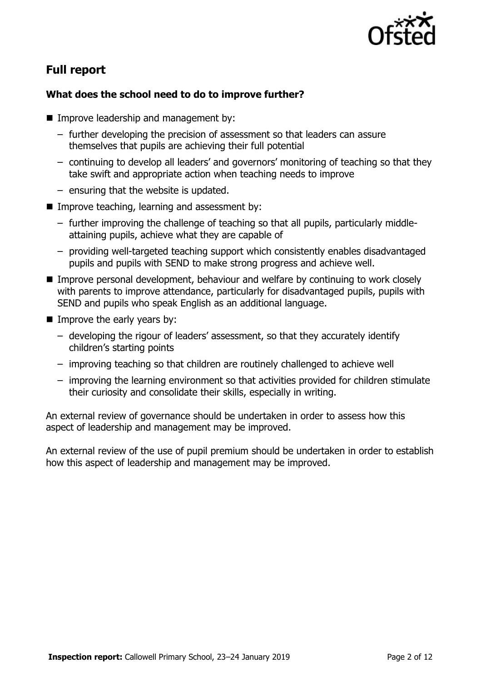

# **Full report**

### **What does the school need to do to improve further?**

- **Improve leadership and management by:** 
	- further developing the precision of assessment so that leaders can assure themselves that pupils are achieving their full potential
	- continuing to develop all leaders' and governors' monitoring of teaching so that they take swift and appropriate action when teaching needs to improve
	- ensuring that the website is updated.
- $\blacksquare$  Improve teaching, learning and assessment by:
	- further improving the challenge of teaching so that all pupils, particularly middleattaining pupils, achieve what they are capable of
	- providing well-targeted teaching support which consistently enables disadvantaged pupils and pupils with SEND to make strong progress and achieve well.
- Improve personal development, behaviour and welfare by continuing to work closely with parents to improve attendance, particularly for disadvantaged pupils, pupils with SEND and pupils who speak English as an additional language.
- $\blacksquare$  Improve the early years by:
	- developing the rigour of leaders' assessment, so that they accurately identify children's starting points
	- improving teaching so that children are routinely challenged to achieve well
	- improving the learning environment so that activities provided for children stimulate their curiosity and consolidate their skills, especially in writing.

An external review of governance should be undertaken in order to assess how this aspect of leadership and management may be improved.

An external review of the use of pupil premium should be undertaken in order to establish how this aspect of leadership and management may be improved.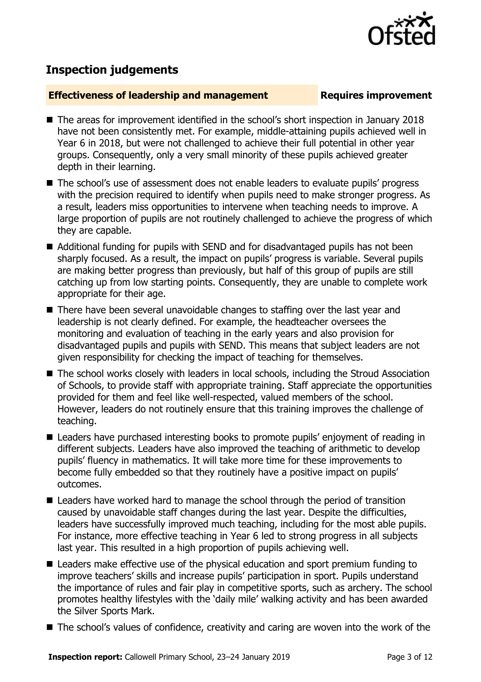

# **Inspection judgements**

#### **Effectiveness of leadership and management Requires improvement**

- The areas for improvement identified in the school's short inspection in January 2018 have not been consistently met. For example, middle-attaining pupils achieved well in Year 6 in 2018, but were not challenged to achieve their full potential in other year groups. Consequently, only a very small minority of these pupils achieved greater depth in their learning.
- The school's use of assessment does not enable leaders to evaluate pupils' progress with the precision required to identify when pupils need to make stronger progress. As a result, leaders miss opportunities to intervene when teaching needs to improve. A large proportion of pupils are not routinely challenged to achieve the progress of which they are capable.
- Additional funding for pupils with SEND and for disadvantaged pupils has not been sharply focused. As a result, the impact on pupils' progress is variable. Several pupils are making better progress than previously, but half of this group of pupils are still catching up from low starting points. Consequently, they are unable to complete work appropriate for their age.
- There have been several unavoidable changes to staffing over the last year and leadership is not clearly defined. For example, the headteacher oversees the monitoring and evaluation of teaching in the early years and also provision for disadvantaged pupils and pupils with SEND. This means that subject leaders are not given responsibility for checking the impact of teaching for themselves.
- The school works closely with leaders in local schools, including the Stroud Association of Schools, to provide staff with appropriate training. Staff appreciate the opportunities provided for them and feel like well-respected, valued members of the school. However, leaders do not routinely ensure that this training improves the challenge of teaching.
- Leaders have purchased interesting books to promote pupils' enjoyment of reading in different subjects. Leaders have also improved the teaching of arithmetic to develop pupils' fluency in mathematics. It will take more time for these improvements to become fully embedded so that they routinely have a positive impact on pupils' outcomes.
- **E** Leaders have worked hard to manage the school through the period of transition caused by unavoidable staff changes during the last year. Despite the difficulties, leaders have successfully improved much teaching, including for the most able pupils. For instance, more effective teaching in Year 6 led to strong progress in all subjects last year. This resulted in a high proportion of pupils achieving well.
- Leaders make effective use of the physical education and sport premium funding to improve teachers' skills and increase pupils' participation in sport. Pupils understand the importance of rules and fair play in competitive sports, such as archery. The school promotes healthy lifestyles with the 'daily mile' walking activity and has been awarded the Silver Sports Mark.
- The school's values of confidence, creativity and caring are woven into the work of the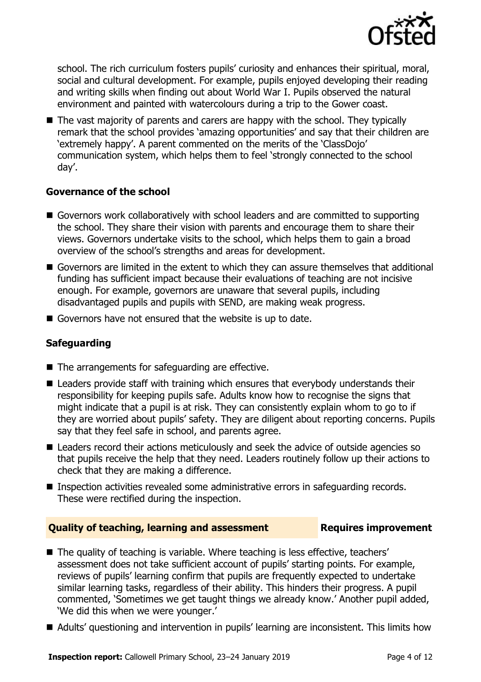

school. The rich curriculum fosters pupils' curiosity and enhances their spiritual, moral, social and cultural development. For example, pupils enjoyed developing their reading and writing skills when finding out about World War I. Pupils observed the natural environment and painted with watercolours during a trip to the Gower coast.

 $\blacksquare$  The vast majority of parents and carers are happy with the school. They typically remark that the school provides 'amazing opportunities' and say that their children are 'extremely happy'. A parent commented on the merits of the 'ClassDojo' communication system, which helps them to feel 'strongly connected to the school day'.

### **Governance of the school**

- Governors work collaboratively with school leaders and are committed to supporting the school. They share their vision with parents and encourage them to share their views. Governors undertake visits to the school, which helps them to gain a broad overview of the school's strengths and areas for development.
- Governors are limited in the extent to which they can assure themselves that additional funding has sufficient impact because their evaluations of teaching are not incisive enough. For example, governors are unaware that several pupils, including disadvantaged pupils and pupils with SEND, are making weak progress.
- Governors have not ensured that the website is up to date.

### **Safeguarding**

- The arrangements for safeguarding are effective.
- Leaders provide staff with training which ensures that everybody understands their responsibility for keeping pupils safe. Adults know how to recognise the signs that might indicate that a pupil is at risk. They can consistently explain whom to go to if they are worried about pupils' safety. They are diligent about reporting concerns. Pupils say that they feel safe in school, and parents agree.
- Leaders record their actions meticulously and seek the advice of outside agencies so that pupils receive the help that they need. Leaders routinely follow up their actions to check that they are making a difference.
- Inspection activities revealed some administrative errors in safeguarding records. These were rectified during the inspection.

### **Quality of teaching, learning and assessment Figures improvement**

- The quality of teaching is variable. Where teaching is less effective, teachers' assessment does not take sufficient account of pupils' starting points. For example, reviews of pupils' learning confirm that pupils are frequently expected to undertake similar learning tasks, regardless of their ability. This hinders their progress. A pupil commented, 'Sometimes we get taught things we already know.' Another pupil added, 'We did this when we were younger.'
- Adults' questioning and intervention in pupils' learning are inconsistent. This limits how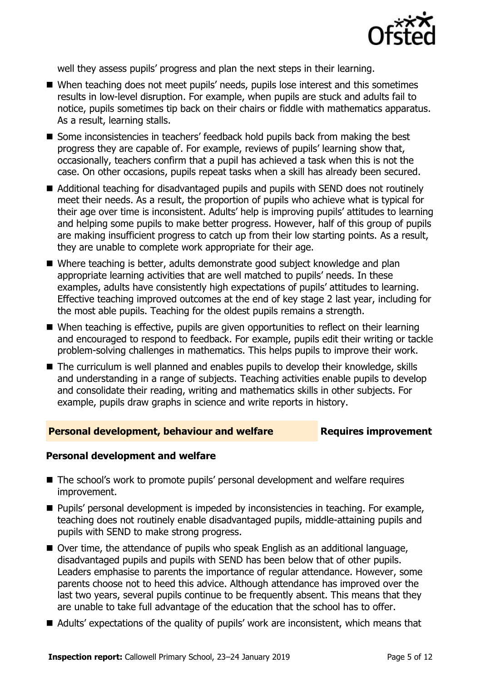

well they assess pupils' progress and plan the next steps in their learning.

- When teaching does not meet pupils' needs, pupils lose interest and this sometimes results in low-level disruption. For example, when pupils are stuck and adults fail to notice, pupils sometimes tip back on their chairs or fiddle with mathematics apparatus. As a result, learning stalls.
- Some inconsistencies in teachers' feedback hold pupils back from making the best progress they are capable of. For example, reviews of pupils' learning show that, occasionally, teachers confirm that a pupil has achieved a task when this is not the case. On other occasions, pupils repeat tasks when a skill has already been secured.
- Additional teaching for disadvantaged pupils and pupils with SEND does not routinely meet their needs. As a result, the proportion of pupils who achieve what is typical for their age over time is inconsistent. Adults' help is improving pupils' attitudes to learning and helping some pupils to make better progress. However, half of this group of pupils are making insufficient progress to catch up from their low starting points. As a result, they are unable to complete work appropriate for their age.
- Where teaching is better, adults demonstrate good subject knowledge and plan appropriate learning activities that are well matched to pupils' needs. In these examples, adults have consistently high expectations of pupils' attitudes to learning. Effective teaching improved outcomes at the end of key stage 2 last year, including for the most able pupils. Teaching for the oldest pupils remains a strength.
- When teaching is effective, pupils are given opportunities to reflect on their learning and encouraged to respond to feedback. For example, pupils edit their writing or tackle problem-solving challenges in mathematics. This helps pupils to improve their work.
- The curriculum is well planned and enables pupils to develop their knowledge, skills and understanding in a range of subjects. Teaching activities enable pupils to develop and consolidate their reading, writing and mathematics skills in other subjects. For example, pupils draw graphs in science and write reports in history.

#### **Personal development, behaviour and welfare Fig. 2. Requires improvement**

#### **Personal development and welfare**

- The school's work to promote pupils' personal development and welfare requires improvement.
- Pupils' personal development is impeded by inconsistencies in teaching. For example, teaching does not routinely enable disadvantaged pupils, middle-attaining pupils and pupils with SEND to make strong progress.
- Over time, the attendance of pupils who speak English as an additional language, disadvantaged pupils and pupils with SEND has been below that of other pupils. Leaders emphasise to parents the importance of regular attendance. However, some parents choose not to heed this advice. Although attendance has improved over the last two years, several pupils continue to be frequently absent. This means that they are unable to take full advantage of the education that the school has to offer.
- Adults' expectations of the quality of pupils' work are inconsistent, which means that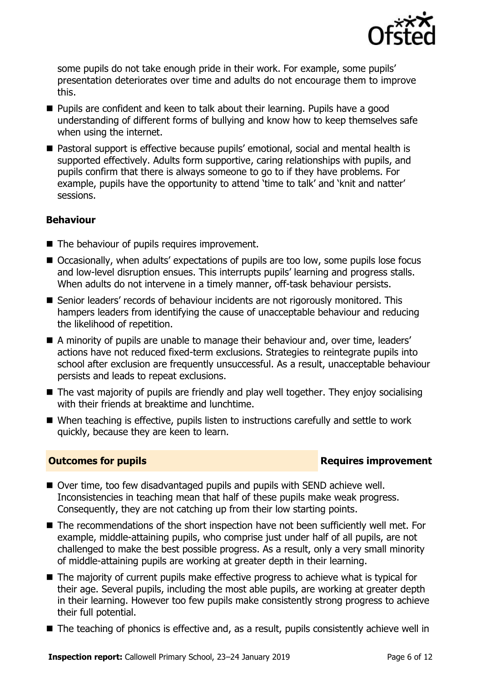

some pupils do not take enough pride in their work. For example, some pupils' presentation deteriorates over time and adults do not encourage them to improve this.

- Pupils are confident and keen to talk about their learning. Pupils have a good understanding of different forms of bullying and know how to keep themselves safe when using the internet.
- Pastoral support is effective because pupils' emotional, social and mental health is supported effectively. Adults form supportive, caring relationships with pupils, and pupils confirm that there is always someone to go to if they have problems. For example, pupils have the opportunity to attend 'time to talk' and 'knit and natter' sessions.

### **Behaviour**

- The behaviour of pupils requires improvement.
- Occasionally, when adults' expectations of pupils are too low, some pupils lose focus and low-level disruption ensues. This interrupts pupils' learning and progress stalls. When adults do not intervene in a timely manner, off-task behaviour persists.
- Senior leaders' records of behaviour incidents are not rigorously monitored. This hampers leaders from identifying the cause of unacceptable behaviour and reducing the likelihood of repetition.
- A minority of pupils are unable to manage their behaviour and, over time, leaders' actions have not reduced fixed-term exclusions. Strategies to reintegrate pupils into school after exclusion are frequently unsuccessful. As a result, unacceptable behaviour persists and leads to repeat exclusions.
- The vast majority of pupils are friendly and play well together. They enjoy socialising with their friends at breaktime and lunchtime.
- When teaching is effective, pupils listen to instructions carefully and settle to work quickly, because they are keen to learn.

### **Outcomes for pupils Requires improvement**

- Over time, too few disadvantaged pupils and pupils with SEND achieve well. Inconsistencies in teaching mean that half of these pupils make weak progress. Consequently, they are not catching up from their low starting points.
- The recommendations of the short inspection have not been sufficiently well met. For example, middle-attaining pupils, who comprise just under half of all pupils, are not challenged to make the best possible progress. As a result, only a very small minority of middle-attaining pupils are working at greater depth in their learning.
- The majority of current pupils make effective progress to achieve what is typical for their age. Several pupils, including the most able pupils, are working at greater depth in their learning. However too few pupils make consistently strong progress to achieve their full potential.
- The teaching of phonics is effective and, as a result, pupils consistently achieve well in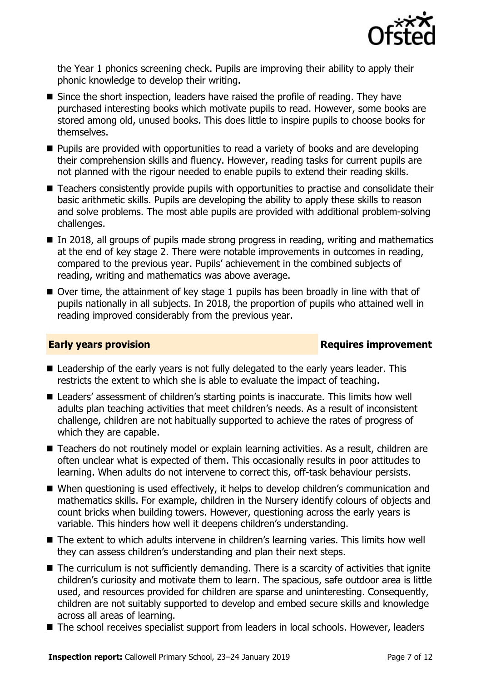

the Year 1 phonics screening check. Pupils are improving their ability to apply their phonic knowledge to develop their writing.

- Since the short inspection, leaders have raised the profile of reading. They have purchased interesting books which motivate pupils to read. However, some books are stored among old, unused books. This does little to inspire pupils to choose books for themselves.
- Pupils are provided with opportunities to read a variety of books and are developing their comprehension skills and fluency. However, reading tasks for current pupils are not planned with the rigour needed to enable pupils to extend their reading skills.
- Teachers consistently provide pupils with opportunities to practise and consolidate their basic arithmetic skills. Pupils are developing the ability to apply these skills to reason and solve problems. The most able pupils are provided with additional problem-solving challenges.
- $\blacksquare$  In 2018, all groups of pupils made strong progress in reading, writing and mathematics at the end of key stage 2. There were notable improvements in outcomes in reading, compared to the previous year. Pupils' achievement in the combined subjects of reading, writing and mathematics was above average.
- $\blacksquare$  Over time, the attainment of key stage 1 pupils has been broadly in line with that of pupils nationally in all subjects. In 2018, the proportion of pupils who attained well in reading improved considerably from the previous year.

#### **Early years provision Requires improvement**

- Leadership of the early years is not fully delegated to the early years leader. This restricts the extent to which she is able to evaluate the impact of teaching.
- Leaders' assessment of children's starting points is inaccurate. This limits how well adults plan teaching activities that meet children's needs. As a result of inconsistent challenge, children are not habitually supported to achieve the rates of progress of which they are capable.
- Teachers do not routinely model or explain learning activities. As a result, children are often unclear what is expected of them. This occasionally results in poor attitudes to learning. When adults do not intervene to correct this, off-task behaviour persists.
- When questioning is used effectively, it helps to develop children's communication and mathematics skills. For example, children in the Nursery identify colours of objects and count bricks when building towers. However, questioning across the early years is variable. This hinders how well it deepens children's understanding.
- The extent to which adults intervene in children's learning varies. This limits how well they can assess children's understanding and plan their next steps.
- $\blacksquare$  The curriculum is not sufficiently demanding. There is a scarcity of activities that ignite children's curiosity and motivate them to learn. The spacious, safe outdoor area is little used, and resources provided for children are sparse and uninteresting. Consequently, children are not suitably supported to develop and embed secure skills and knowledge across all areas of learning.
- The school receives specialist support from leaders in local schools. However, leaders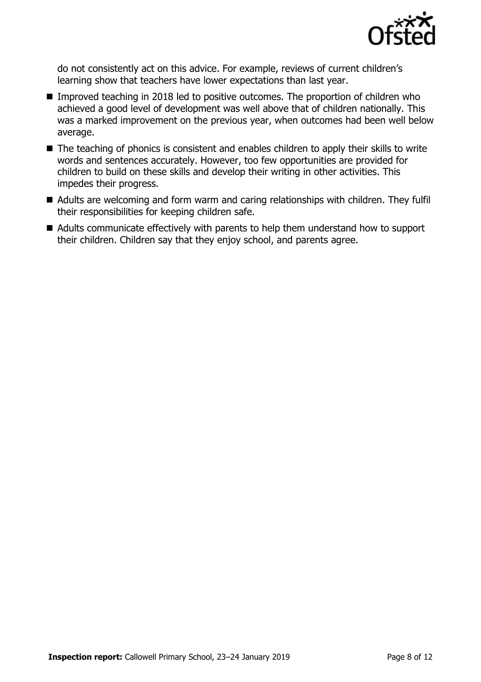

do not consistently act on this advice. For example, reviews of current children's learning show that teachers have lower expectations than last year.

- Improved teaching in 2018 led to positive outcomes. The proportion of children who achieved a good level of development was well above that of children nationally. This was a marked improvement on the previous year, when outcomes had been well below average.
- The teaching of phonics is consistent and enables children to apply their skills to write words and sentences accurately. However, too few opportunities are provided for children to build on these skills and develop their writing in other activities. This impedes their progress.
- Adults are welcoming and form warm and caring relationships with children. They fulfil their responsibilities for keeping children safe.
- Adults communicate effectively with parents to help them understand how to support their children. Children say that they enjoy school, and parents agree.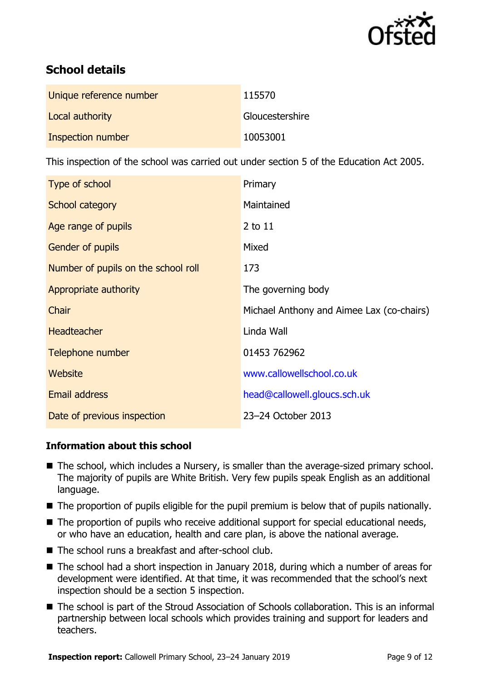

# **School details**

| Unique reference number | 115570          |
|-------------------------|-----------------|
| Local authority         | Gloucestershire |
| Inspection number       | 10053001        |

This inspection of the school was carried out under section 5 of the Education Act 2005.

| Type of school                      | Primary                                   |
|-------------------------------------|-------------------------------------------|
| School category                     | Maintained                                |
| Age range of pupils                 | 2 to 11                                   |
| Gender of pupils                    | Mixed                                     |
| Number of pupils on the school roll | 173                                       |
| Appropriate authority               | The governing body                        |
| Chair                               | Michael Anthony and Aimee Lax (co-chairs) |
| <b>Headteacher</b>                  | Linda Wall                                |
| Telephone number                    | 01453 762962                              |
| Website                             | www.callowellschool.co.uk                 |
| <b>Email address</b>                | head@callowell.gloucs.sch.uk              |
| Date of previous inspection         | 23-24 October 2013                        |

### **Information about this school**

- The school, which includes a Nursery, is smaller than the average-sized primary school. The majority of pupils are White British. Very few pupils speak English as an additional language.
- The proportion of pupils eligible for the pupil premium is below that of pupils nationally.
- The proportion of pupils who receive additional support for special educational needs, or who have an education, health and care plan, is above the national average.
- The school runs a breakfast and after-school club.
- The school had a short inspection in January 2018, during which a number of areas for development were identified. At that time, it was recommended that the school's next inspection should be a section 5 inspection.
- The school is part of the Stroud Association of Schools collaboration. This is an informal partnership between local schools which provides training and support for leaders and teachers.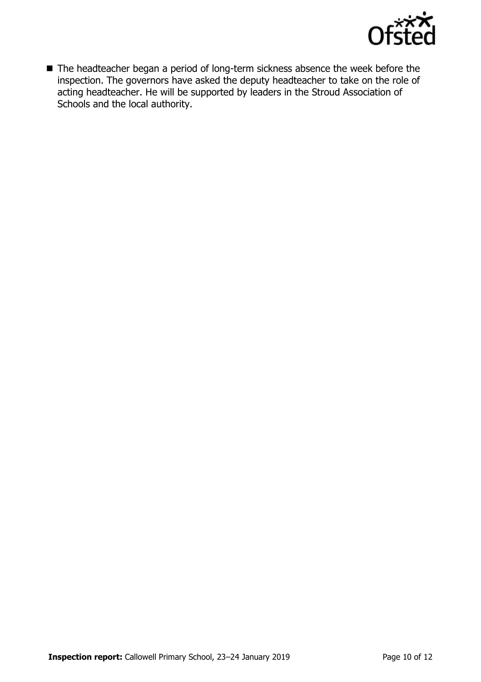

■ The headteacher began a period of long-term sickness absence the week before the inspection. The governors have asked the deputy headteacher to take on the role of acting headteacher. He will be supported by leaders in the Stroud Association of Schools and the local authority.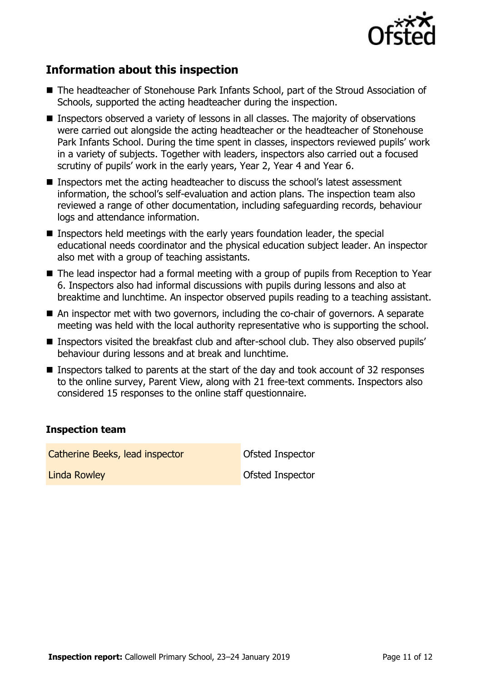

# **Information about this inspection**

- The headteacher of Stonehouse Park Infants School, part of the Stroud Association of Schools, supported the acting headteacher during the inspection.
- Inspectors observed a variety of lessons in all classes. The majority of observations were carried out alongside the acting headteacher or the headteacher of Stonehouse Park Infants School. During the time spent in classes, inspectors reviewed pupils' work in a variety of subjects. Together with leaders, inspectors also carried out a focused scrutiny of pupils' work in the early years, Year 2, Year 4 and Year 6.
- Inspectors met the acting headteacher to discuss the school's latest assessment information, the school's self-evaluation and action plans. The inspection team also reviewed a range of other documentation, including safeguarding records, behaviour logs and attendance information.
- **Inspectors held meetings with the early years foundation leader, the special** educational needs coordinator and the physical education subject leader. An inspector also met with a group of teaching assistants.
- The lead inspector had a formal meeting with a group of pupils from Reception to Year 6. Inspectors also had informal discussions with pupils during lessons and also at breaktime and lunchtime. An inspector observed pupils reading to a teaching assistant.
- An inspector met with two governors, including the co-chair of governors. A separate meeting was held with the local authority representative who is supporting the school.
- Inspectors visited the breakfast club and after-school club. They also observed pupils' behaviour during lessons and at break and lunchtime.
- Inspectors talked to parents at the start of the day and took account of 32 responses to the online survey, Parent View, along with 21 free-text comments. Inspectors also considered 15 responses to the online staff questionnaire.

### **Inspection team**

Catherine Beeks, lead inspector **Catherine Beeks**, lead inspector Linda Rowley **Contract Contract Contract Contract Contract Contract Contract Contract Contract Contract Contract Contract Contract Contract Contract Contract Contract Contract Contract Contract Contract Contract Contract C** 

**Inspection report:** Callowell Primary School, 23–24 January 2019 **Page 11 of 12** Page 11 of 12